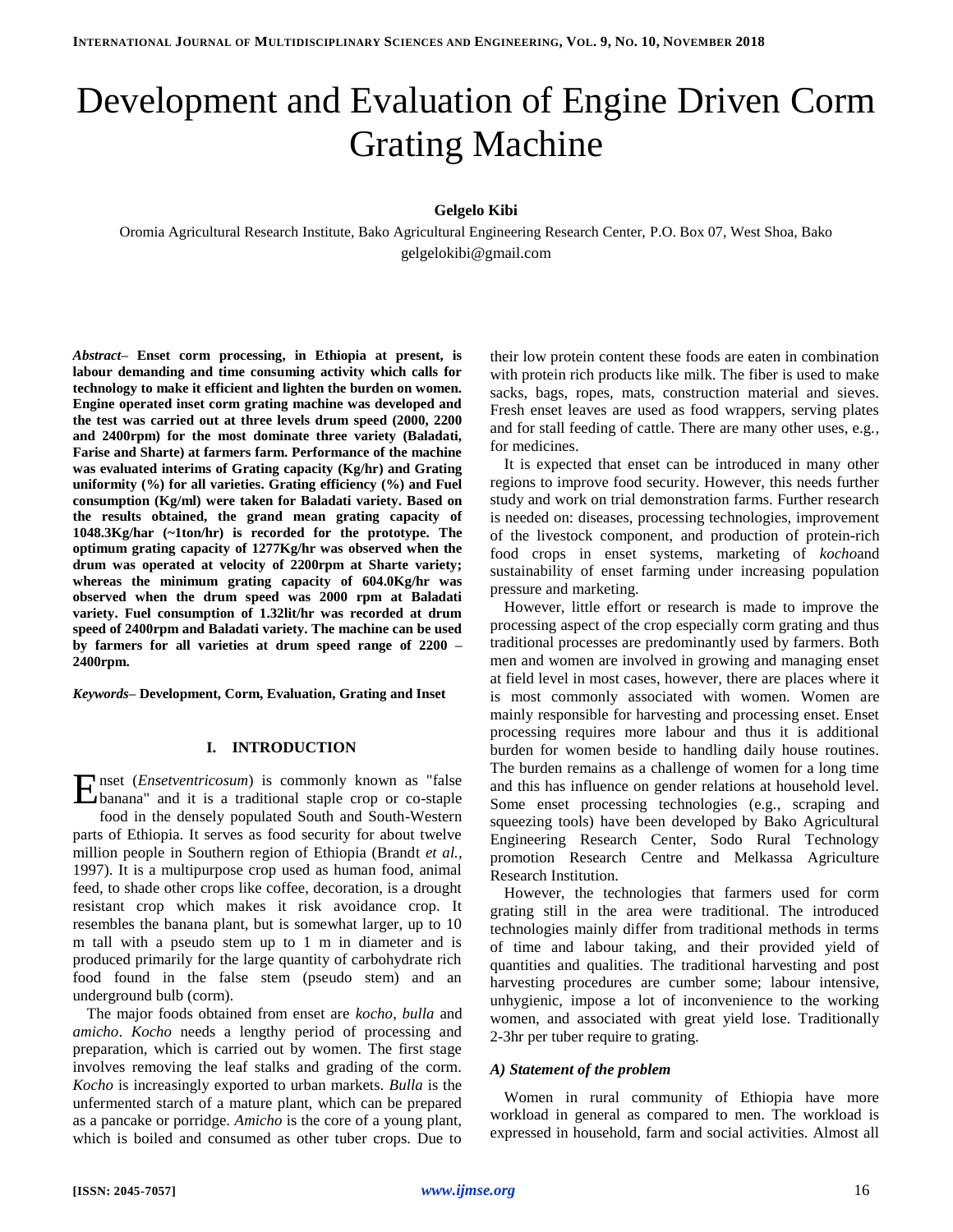# Development and Evaluation of Engine Driven Corm Grating Machine

# **Gelgelo Kibi**

Oromia Agricultural Research Institute, Bako Agricultural Engineering Research Center, P.O. Box 07, West Shoa, Bako gelgelokibi@gmail.com

*Abstract–* **Enset corm processing, in Ethiopia at present, is labour demanding and time consuming activity which calls for technology to make it efficient and lighten the burden on women. Engine operated inset corm grating machine was developed and the test was carried out at three levels drum speed (2000, 2200 and 2400rpm) for the most dominate three variety (Baladati, Farise and Sharte) at farmers farm. Performance of the machine was evaluated interims of Grating capacity (Kg/hr) and Grating uniformity (%) for all varieties. Grating efficiency (%) and Fuel consumption (Kg/ml) were taken for Baladati variety. Based on the results obtained, the grand mean grating capacity of 1048.3Kg/har (~1ton/hr) is recorded for the prototype. The optimum grating capacity of 1277Kg/hr was observed when the drum was operated at velocity of 2200rpm at Sharte variety; whereas the minimum grating capacity of 604.0Kg/hr was observed when the drum speed was 2000 rpm at Baladati variety. Fuel consumption of 1.32lit/hr was recorded at drum speed of 2400rpm and Baladati variety. The machine can be used by farmers for all varieties at drum speed range of 2200 – 2400rpm.**

*Keywords–* **Development, Corm, Evaluation, Grating and Inset**

## **I. INTRODUCTION**

nset (*Ensetventricosum*) is commonly known as "false Enset (*Ensetventricosum*) is commonly known as "false banana" and it is a traditional staple crop or co-staple food in the densely populated South and South-Western parts of Ethiopia. It serves as food security for about twelve million people in Southern region of Ethiopia (Brandt *et al.,* 1997). It is a multipurpose crop used as human food, animal feed, to shade other crops like coffee, decoration, is a drought resistant crop which makes it risk avoidance crop. It resembles the banana plant, but is somewhat larger, up to 10 m tall with a pseudo stem up to 1 m in diameter and is produced primarily for the large quantity of carbohydrate rich food found in the false stem (pseudo stem) and an underground bulb (corm).

The major foods obtained from enset are *kocho*, *bulla* and *amicho*. *Kocho* needs a lengthy period of processing and preparation, which is carried out by women. The first stage involves removing the leaf stalks and grading of the corm. *Kocho* is increasingly exported to urban markets. *Bulla* is the unfermented starch of a mature plant, which can be prepared as a pancake or porridge. *Amicho* is the core of a young plant, which is boiled and consumed as other tuber crops. Due to their low protein content these foods are eaten in combination with protein rich products like milk. The fiber is used to make sacks, bags, ropes, mats, construction material and sieves. Fresh enset leaves are used as food wrappers, serving plates and for stall feeding of cattle. There are many other uses, e.g., for medicines.

It is expected that enset can be introduced in many other regions to improve food security. However, this needs further study and work on trial demonstration farms. Further research is needed on: diseases, processing technologies, improvement of the livestock component, and production of protein-rich food crops in enset systems, marketing of *kocho*and sustainability of enset farming under increasing population pressure and marketing.

However, little effort or research is made to improve the processing aspect of the crop especially corm grating and thus traditional processes are predominantly used by farmers. Both men and women are involved in growing and managing enset at field level in most cases, however, there are places where it is most commonly associated with women. Women are mainly responsible for harvesting and processing enset. Enset processing requires more labour and thus it is additional burden for women beside to handling daily house routines. The burden remains as a challenge of women for a long time and this has influence on gender relations at household level. Some enset processing technologies (e.g., scraping and squeezing tools) have been developed by Bako Agricultural Engineering Research Center, Sodo Rural Technology promotion Research Centre and Melkassa Agriculture Research Institution.

However, the technologies that farmers used for corm grating still in the area were traditional. The introduced technologies mainly differ from traditional methods in terms of time and labour taking, and their provided yield of quantities and qualities. The traditional harvesting and post harvesting procedures are cumber some; labour intensive, unhygienic, impose a lot of inconvenience to the working women, and associated with great yield lose. Traditionally 2-3hr per tuber require to grating.

## *A) Statement of the problem*

Women in rural community of Ethiopia have more workload in general as compared to men. The workload is expressed in household, farm and social activities. Almost all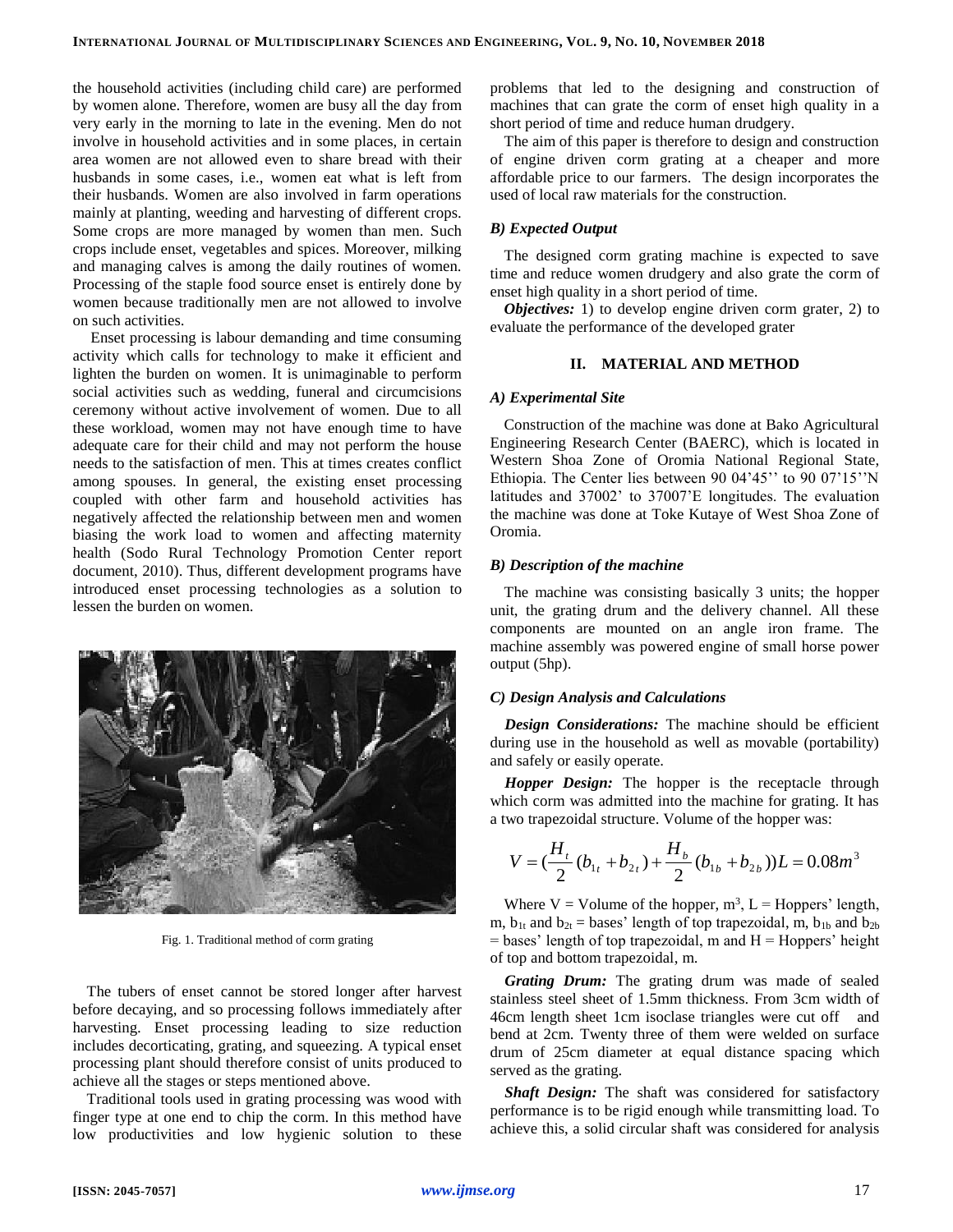the household activities (including child care) are performed by women alone. Therefore, women are busy all the day from very early in the morning to late in the evening. Men do not involve in household activities and in some places, in certain area women are not allowed even to share bread with their husbands in some cases, i.e., women eat what is left from their husbands. Women are also involved in farm operations mainly at planting, weeding and harvesting of different crops. Some crops are more managed by women than men. Such crops include enset, vegetables and spices. Moreover, milking and managing calves is among the daily routines of women. Processing of the staple food source enset is entirely done by women because traditionally men are not allowed to involve on such activities.

Enset processing is labour demanding and time consuming activity which calls for technology to make it efficient and lighten the burden on women. It is unimaginable to perform social activities such as wedding, funeral and circumcisions ceremony without active involvement of women. Due to all these workload, women may not have enough time to have adequate care for their child and may not perform the house needs to the satisfaction of men. This at times creates conflict among spouses. In general, the existing enset processing coupled with other farm and household activities has negatively affected the relationship between men and women biasing the work load to women and affecting maternity health (Sodo Rural Technology Promotion Center report document, 2010). Thus, different development programs have introduced enset processing technologies as a solution to lessen the burden on women.



Fig. 1. Traditional method of corm grating

The tubers of enset cannot be stored longer after harvest before decaying, and so processing follows immediately after harvesting. Enset processing leading to size reduction includes decorticating, grating, and squeezing. A typical enset processing plant should therefore consist of units produced to achieve all the stages or steps mentioned above.

Traditional tools used in grating processing was wood with finger type at one end to chip the corm. In this method have low productivities and low hygienic solution to these problems that led to the designing and construction of machines that can grate the corm of enset high quality in a short period of time and reduce human drudgery.

The aim of this paper is therefore to design and construction of engine driven corm grating at a cheaper and more affordable price to our farmers. The design incorporates the used of local raw materials for the construction.

# *B) Expected Output*

The designed corm grating machine is expected to save time and reduce women drudgery and also grate the corm of enset high quality in a short period of time.

*Objectives:* 1) to develop engine driven corm grater, 2) to evaluate the performance of the developed grater

# **II. MATERIAL AND METHOD**

## *A) Experimental Site*

Construction of the machine was done at Bako Agricultural Engineering Research Center (BAERC), which is located in Western Shoa Zone of Oromia National Regional State, Ethiopia. The Center lies between 90 04'45'' to 90 07'15''N latitudes and 37002' to 37007'E longitudes. The evaluation the machine was done at Toke Kutaye of West Shoa Zone of Oromia.

# *B) Description of the machine*

The machine was consisting basically 3 units; the hopper unit, the grating drum and the delivery channel. All these components are mounted on an angle iron frame. The machine assembly was powered engine of small horse power output (5hp).

## *C) Design Analysis and Calculations*

*Design Considerations:* The machine should be efficient during use in the household as well as movable (portability) and safely or easily operate.

*Hopper Design:* The hopper is the receptacle through which corm was admitted into the machine for grating. It has a two trapezoidal structure. Volume of the hopper was:

$$
V = \left(\frac{H_t}{2}(b_{1t} + b_{2t}) + \frac{H_b}{2}(b_{1b} + b_{2b})\right)L = 0.08m^3
$$

Where  $V =$  Volume of the hopper,  $m^3$ ,  $L =$  Hoppers' length, m,  $b_{1t}$  and  $b_{2t}$  = bases' length of top trapezoidal, m,  $b_{1b}$  and  $b_{2b}$  $=$  bases' length of top trapezoidal, m and  $H =$  Hoppers' height of top and bottom trapezoidal, m.

*Grating Drum:* The grating drum was made of sealed stainless steel sheet of 1.5mm thickness. From 3cm width of 46cm length sheet 1cm isoclase triangles were cut off and bend at 2cm. Twenty three of them were welded on surface drum of 25cm diameter at equal distance spacing which served as the grating.

*Shaft Design:* The shaft was considered for satisfactory performance is to be rigid enough while transmitting load. To achieve this, a solid circular shaft was considered for analysis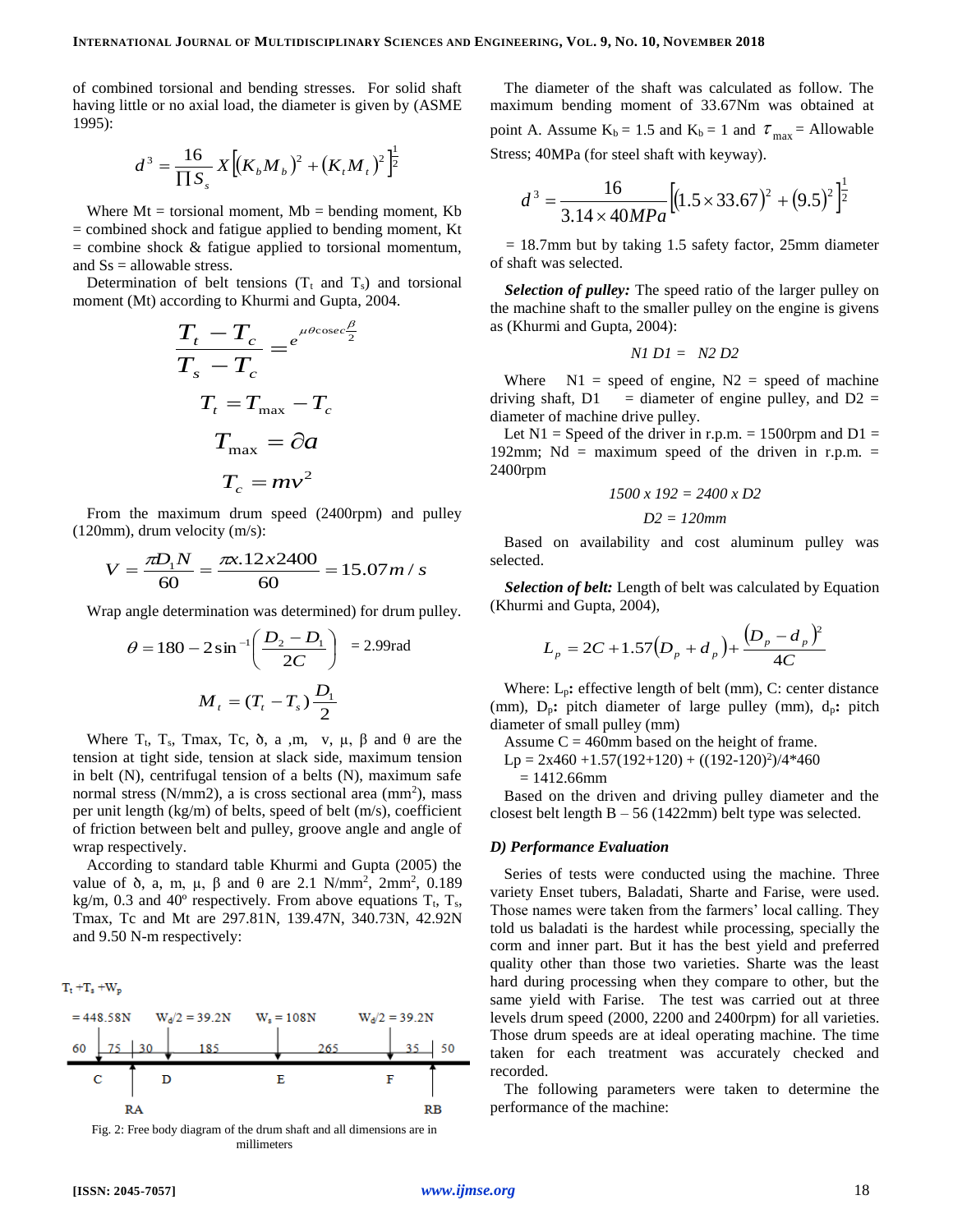of combined torsional and bending stresses. For solid shaft having little or no axial load, the diameter is given by (ASME 1995):

$$
d^{3} = \frac{16}{\prod S_{s}} X \Big[ (K_{b} M_{b})^{2} + (K_{t} M_{t})^{2} \Big]^{1/2}
$$

Where  $Mt = torsional$  moment,  $Mb = bending$  moment,  $Kb$ = combined shock and fatigue applied to bending moment, Kt  $=$  combine shock  $\&$  fatigue applied to torsional momentum, and  $Ss =$  allowable stress.

Determination of belt tensions  $(T_t$  and  $T_s$ ) and torsional moment (Mt) according to Khurmi and Gupta, 2004.

$$
\frac{T_t - T_c}{T_s - T_c} = e^{\mu \theta \cos \theta \frac{\beta}{2}}
$$

$$
T_t = T_{\text{max}} - T_c
$$

$$
T_{\text{max}} = \partial a
$$

$$
T_c = m v^2
$$

From the maximum drum speed (2400rpm) and pulley (120mm), drum velocity (m/s):

$$
V = \frac{\pi D_1 N}{60} = \frac{\pi x \cdot 12 \cdot 2400}{60} = 15.07 m / s
$$

Wrap angle determination was determined) for drum pulley.

$$
\theta = 180 - 2\sin^{-1}\left(\frac{D_2 - D_1}{2C}\right) = 2.99 \text{rad}
$$

$$
M_t = (T_t - T_s) \frac{D_1}{2}
$$

Where  $T_t$ ,  $T_s$ , Tmax, Tc,  $\delta$ , a ,m, v,  $\mu$ ,  $\beta$  and  $\theta$  are the tension at tight side, tension at slack side, maximum tension in belt (N), centrifugal tension of a belts (N), maximum safe normal stress (N/mm2), a is cross sectional area (mm<sup>2</sup>), mass per unit length (kg/m) of belts, speed of belt (m/s), coefficient of friction between belt and pulley, groove angle and angle of wrap respectively.

According to standard table Khurmi and Gupta (2005) the value of  $\delta$ , a, m, μ, β and θ are 2.1 N/mm<sup>2</sup>, 2mm<sup>2</sup>, 0.189 kg/m, 0.3 and 40 $^{\circ}$  respectively. From above equations  $T_{t}$ ,  $T_{s}$ , Tmax, Tc and Mt are 297.81N, 139.47N, 340.73N, 42.92N and 9.50 N-m respectively:

 $T_t + T_s + W_p$ 



Fig. 2: Free body diagram of the drum shaft and all dimensions are in millimeters

The diameter of the shaft was calculated as follow. The maximum bending moment of 33.67Nm was obtained at point A. Assume  $K_b = 1.5$  and  $K_b = 1$  and  $\tau_{max} =$  Allowable Stress; 40MPa (for steel shaft with keyway).

$$
d^{3} = \frac{16}{3.14 \times 40MPa} \left[ (1.5 \times 33.67)^{2} + (9.5)^{2} \right]^{\frac{1}{2}}
$$

 $= 18.7$ mm but by taking 1.5 safety factor, 25mm diameter of shaft was selected.

*Selection of pulley:* The speed ratio of the larger pulley on the machine shaft to the smaller pulley on the engine is givens as (Khurmi and Gupta, 2004):

$$
NI\;DI=\;N2\;D2
$$

Where  $N1$  = speed of engine,  $N2$  = speed of machine driving shaft,  $D1$  = diameter of engine pulley, and  $D2$  = diameter of machine drive pulley.

Let  $N1$  = Speed of the driver in r.p.m. = 1500rpm and  $D1$  = 192mm; Nd = maximum speed of the driven in r.p.m. = 2400rpm

$$
1500 \times 192 = 2400 \times D2
$$

$$
D2=120mm
$$

Based on availability and cost aluminum pulley was selected.

*Selection of belt:* Length of belt was calculated by Equation (Khurmi and Gupta, 2004),

$$
L_p = 2C + 1.57(D_p + d_p) + \frac{(D_p - d_p)^2}{4C}
$$

Where: L<sub>p</sub>: effective length of belt (mm), C: center distance (mm),  $D_p$ : pitch diameter of large pulley (mm),  $d_p$ : pitch diameter of small pulley (mm)

Assume  $C = 460$ mm based on the height of frame.  $Lp = 2x460 + 1.57(192 + 120) + ((192 - 120)^2)/4*460$ 

 $= 1412.66$ mm

Based on the driven and driving pulley diameter and the closest belt length  $B - 56$  (1422mm) belt type was selected.

#### *D) Performance Evaluation*

Series of tests were conducted using the machine. Three variety Enset tubers, Baladati, Sharte and Farise, were used. Those names were taken from the farmers' local calling. They told us baladati is the hardest while processing, specially the corm and inner part. But it has the best yield and preferred quality other than those two varieties. Sharte was the least hard during processing when they compare to other, but the same yield with Farise. The test was carried out at three levels drum speed (2000, 2200 and 2400rpm) for all varieties. Those drum speeds are at ideal operating machine. The time taken for each treatment was accurately checked and recorded.

The following parameters were taken to determine the performance of the machine: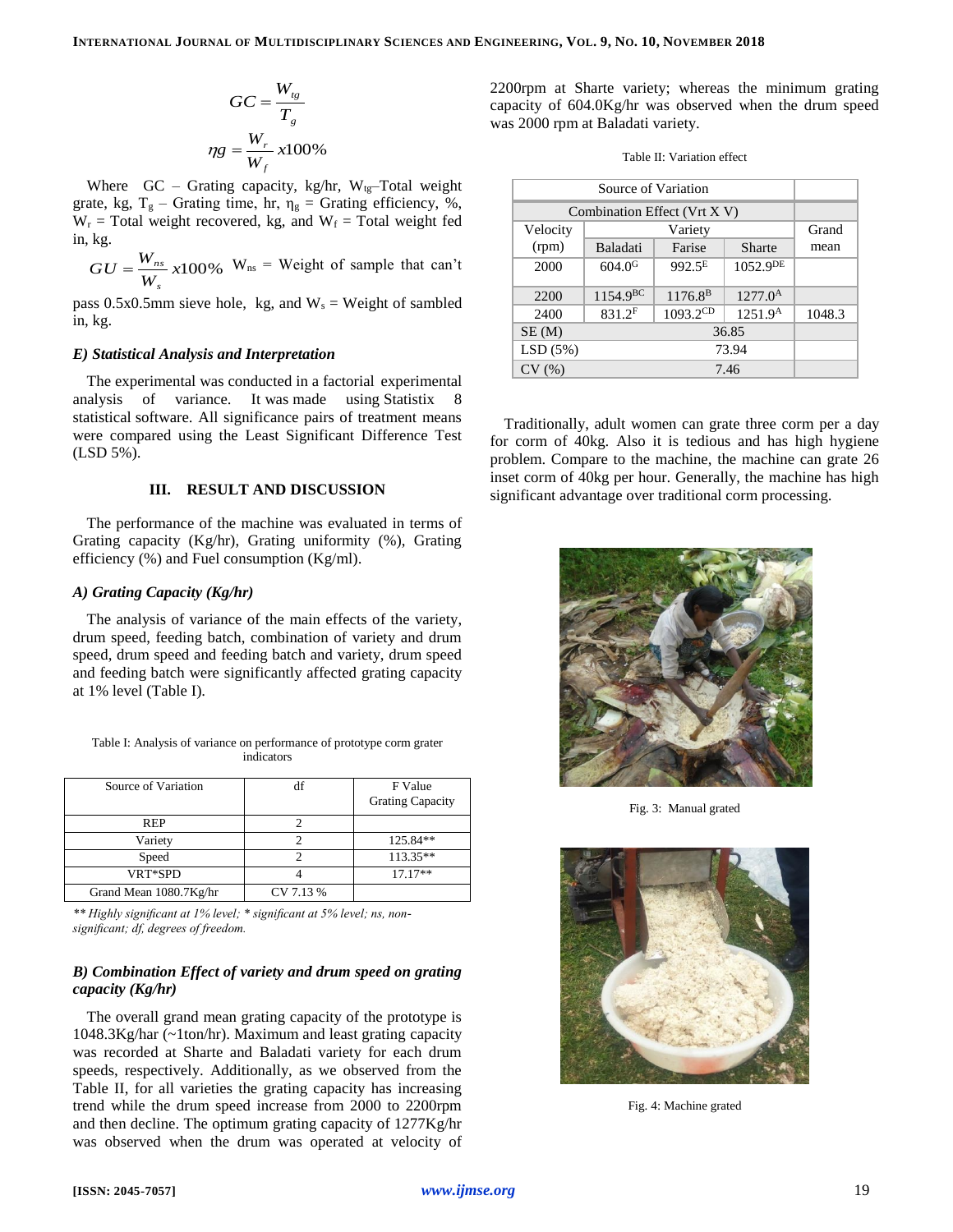$$
GC = \frac{W_{tg}}{T_g}
$$

$$
\eta g = \frac{W_r}{W_f} x 100\%
$$

Where  $GC - Grating capacity, kg/hr, W_{tg}-Total weight$ grate, kg,  $T_g$  – Grating time, hr,  $\eta_g$  = Grating efficiency, %,  $W_r$  = Total weight recovered, kg, and  $W_f$  = Total weight fed in, kg.

 $\frac{W_{ns}}{W_{s}}$  x100%  $GU = \frac{W}{V}$ *s*  $=\frac{W_{ns}}{W_{ss}}$  x100%  $W_{ns}$  = Weight of sample that can't

pass 0.5x0.5mm sieve hole, kg, and  $W_s$  = Weight of sambled in, kg.

## *E) Statistical Analysis and Interpretation*

The experimental was conducted in a factorial experimental analysis of variance. It was made using Statistix 8 statistical software. All significance pairs of treatment means were compared using the Least Significant Difference Test (LSD 5%).

# **III. RESULT AND DISCUSSION**

The performance of the machine was evaluated in terms of Grating capacity (Kg/hr), Grating uniformity (%), Grating efficiency  $(\%)$  and Fuel consumption (Kg/ml).

# *A) Grating Capacity (Kg/hr)*

The analysis of variance of the main effects of the variety, drum speed, feeding batch, combination of variety and drum speed, drum speed and feeding batch and variety, drum speed and feeding batch were significantly affected grating capacity at 1% level (Table I).

| Table I: Analysis of variance on performance of prototype corm grater |
|-----------------------------------------------------------------------|
| indicators                                                            |

| Source of Variation    | df        | F Value                 |
|------------------------|-----------|-------------------------|
|                        |           | <b>Grating Capacity</b> |
| <b>REP</b>             |           |                         |
| Variety                |           | 125.84**                |
| Speed                  |           | 113.35**                |
| VRT*SPD                |           | $17.17**$               |
| Grand Mean 1080.7Kg/hr | CV 7.13 % |                         |

*\*\* Highly significant at 1% level; \* significant at 5% level; ns, nonsignificant; df, degrees of freedom.*

# *B) Combination Effect of variety and drum speed on grating capacity (Kg/hr)*

The overall grand mean grating capacity of the prototype is 1048.3Kg/har (~1ton/hr). Maximum and least grating capacity was recorded at Sharte and Baladati variety for each drum speeds, respectively. Additionally, as we observed from the Table II, for all varieties the grating capacity has increasing trend while the drum speed increase from 2000 to 2200rpm and then decline. The optimum grating capacity of 1277Kg/hr was observed when the drum was operated at velocity of 2200rpm at Sharte variety; whereas the minimum grating capacity of 604.0Kg/hr was observed when the drum speed was 2000 rpm at Baladati variety.

| Table II: Variation effect |  |
|----------------------------|--|
|----------------------------|--|

| Source of Variation          |                    |                   |                     |        |
|------------------------------|--------------------|-------------------|---------------------|--------|
| Combination Effect (Vrt X V) |                    |                   |                     |        |
| Velocity                     | Variety            |                   |                     | Grand  |
| (rpm)                        | Baladati           | Farise            | Sharte              | mean   |
| 2000                         | 604.0 <sup>G</sup> | $992.5^E$         | $1052.9^{DE}$       |        |
| 2200                         | $1154.9^{BC}$      | $1176.8^{\rm B}$  | $1277.0^{\rm A}$    |        |
| 2400                         | 831.2F             | $1093.2^{\rm CD}$ | 1251.9 <sup>A</sup> | 1048.3 |
| SE(M)                        | 36.85              |                   |                     |        |
| LSD(5%)                      | 73.94              |                   |                     |        |
| CV(%)                        | 7.46               |                   |                     |        |

Traditionally, adult women can grate three corm per a day for corm of 40kg. Also it is tedious and has high hygiene problem. Compare to the machine, the machine can grate 26 inset corm of 40kg per hour. Generally, the machine has high significant advantage over traditional corm processing.



Fig. 3: Manual grated



Fig. 4: Machine grated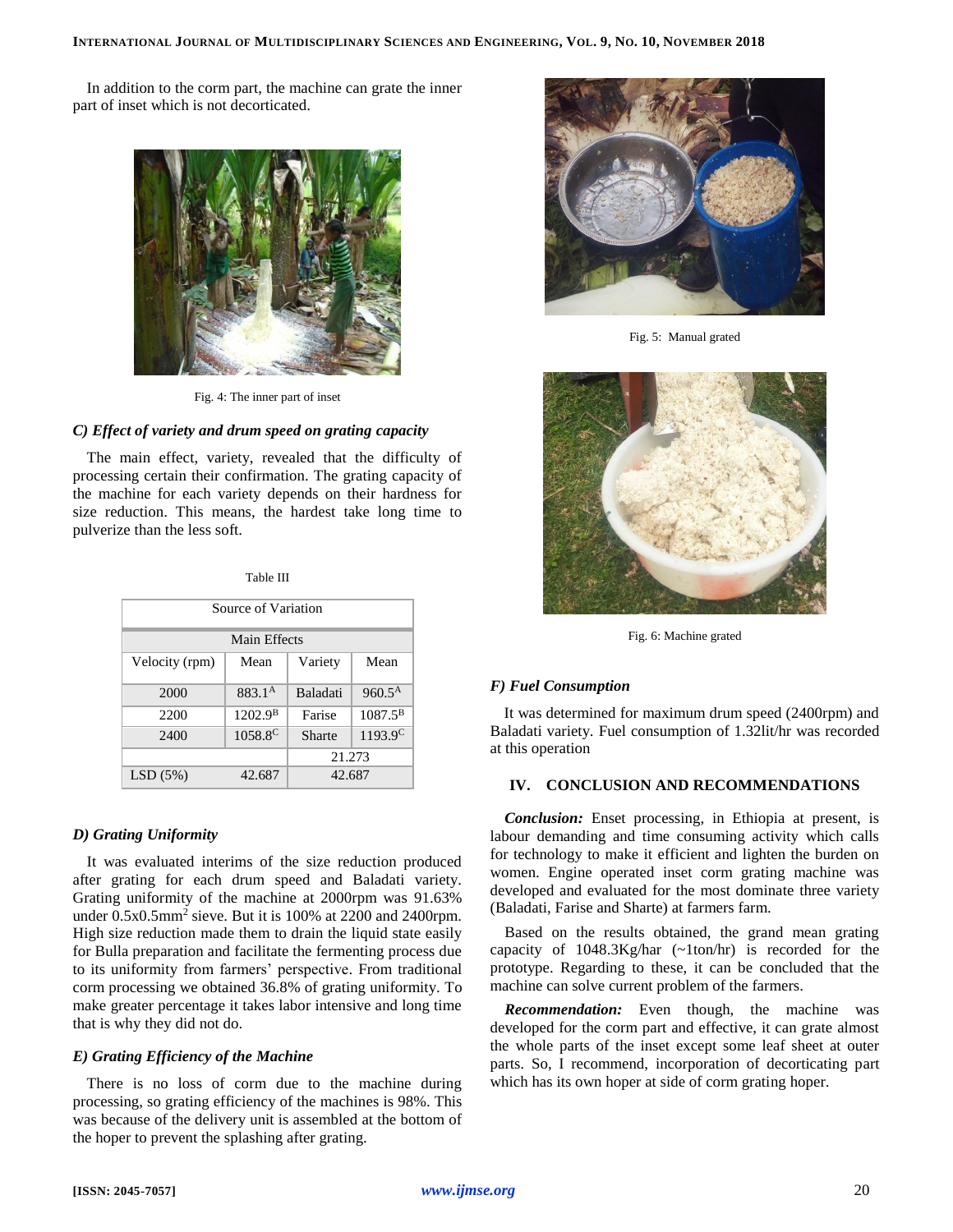In addition to the corm part, the machine can grate the inner part of inset which is not decorticated.



Fig. 4: The inner part of inset

# *C) Effect of variety and drum speed on grating capacity*

The main effect, variety, revealed that the difficulty of processing certain their confirmation. The grating capacity of the machine for each variety depends on their hardness for size reduction. This means, the hardest take long time to pulverize than the less soft.

Table III

| Source of Variation |                     |                 |                    |  |  |
|---------------------|---------------------|-----------------|--------------------|--|--|
| Main Effects        |                     |                 |                    |  |  |
| Velocity (rpm)      | Mean                | Variety         | Mean               |  |  |
| 2000                | 883.1 <sup>A</sup>  | <b>Baladati</b> | $960.5^{\text{A}}$ |  |  |
| 2200                | 1202.9 <sup>B</sup> | Farise          | $1087.5^{\rm B}$   |  |  |
| 2400                | 1058.8 <sup>C</sup> | Sharte          | $1193.9^C$         |  |  |
|                     |                     | 21.273          |                    |  |  |
| LSD(5%)             | 42.687              | 42.687          |                    |  |  |

## *D) Grating Uniformity*

It was evaluated interims of the size reduction produced after grating for each drum speed and Baladati variety. Grating uniformity of the machine at 2000rpm was 91.63% under 0.5x0.5mm<sup>2</sup> sieve. But it is 100% at 2200 and 2400rpm. High size reduction made them to drain the liquid state easily for Bulla preparation and facilitate the fermenting process due to its uniformity from farmers' perspective. From traditional corm processing we obtained 36.8% of grating uniformity. To make greater percentage it takes labor intensive and long time that is why they did not do.

## *E) Grating Efficiency of the Machine*

There is no loss of corm due to the machine during processing, so grating efficiency of the machines is 98%. This was because of the delivery unit is assembled at the bottom of the hoper to prevent the splashing after grating.



Fig. 5: Manual grated



Fig. 6: Machine grated

## *F) Fuel Consumption*

It was determined for maximum drum speed (2400rpm) and Baladati variety. Fuel consumption of 1.32lit/hr was recorded at this operation

## **IV. CONCLUSION AND RECOMMENDATIONS**

*Conclusion:* Enset processing, in Ethiopia at present, is labour demanding and time consuming activity which calls for technology to make it efficient and lighten the burden on women. Engine operated inset corm grating machine was developed and evaluated for the most dominate three variety (Baladati, Farise and Sharte) at farmers farm.

Based on the results obtained, the grand mean grating capacity of 1048.3Kg/har (~1ton/hr) is recorded for the prototype. Regarding to these, it can be concluded that the machine can solve current problem of the farmers.

*Recommendation:* Even though, the machine was developed for the corm part and effective, it can grate almost the whole parts of the inset except some leaf sheet at outer parts. So, I recommend, incorporation of decorticating part which has its own hoper at side of corm grating hoper.